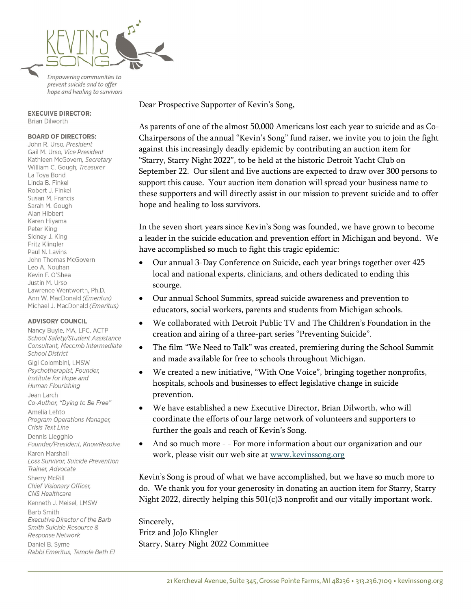

Empowering communities to prevent suicide and to offer hope and healing to survivors

#### **EXECUIVE DIRECTOR:** Brian Dilworth

### **BOARD OF DIRECTORS:**

John R. Urso, President Gail M. Urso, Vice President Kathleen McGovern, Secretary William C. Gough, Treasurer La Toya Bond Linda B. Finkel Robert J. Finkel Susan M. Francis Sarah M. Gough Alan Hibbert Karen Hiyama Peter King Sidney J. King Fritz Klingler Paul N. Lavins John Thomas McGovern Leo A. Nouhan Kevin F. O'Shea Justin M. Urso Lawrence Wentworth, Ph.D. Ann W. MacDonald (Emeritus) Michael J. MacDonald (Emeritus)

#### **ADVISORY COUNCIL**

Nancy Buyle, MA, LPC, ACTP School Safety/Student Assistance Consultant, Macomb Intermediate **School District** Gigi Colombini, LMSW Psychotherapist, Founder, Institute for Hope and Human Flourishing Jean Larch Co-Author, "Dying to Be Free" Amelia Lehto Program Operations Manager, Crisis Text Line Dennis Liegghio Founder/President, KnowResolve Karen Marshall Loss Survivor, Suicide Prevention Trainer, Advocate Sherry McRill Chief Visionary Officer, CNS Healthcare Kenneth J. Meisel, LMSW **Barb Smith** Executive Director of the Barb Smith Suicide Resource & **Response Network** Daniel B. Syme Rabbi Emeritus, Temple Beth El

Dear Prospective Supporter of Kevin's Song,

As parents of one of the almost 50,000 Americans lost each year to suicide and as Co-Chairpersons of the annual "Kevin's Song" fund raiser, we invite you to join the fight against this increasingly deadly epidemic by contributing an auction item for "Starry, Starry Night 2022", to be held at the historic Detroit Yacht Club on September 22. Our silent and live auctions are expected to draw over 300 persons to support this cause. Your auction item donation will spread your business name to these supporters and will directly assist in our mission to prevent suicide and to offer hope and healing to loss survivors.

In the seven short years since Kevin's Song was founded, we have grown to become a leader in the suicide education and prevention effort in Michigan and beyond. We have accomplished so much to fight this tragic epidemic:

- Our annual 3-Day Conference on Suicide, each year brings together over 425 local and national experts, clinicians, and others dedicated to ending this scourge.
- Our annual School Summits, spread suicide awareness and prevention to educators, social workers, parents and students from Michigan schools.
- We collaborated with Detroit Public TV and The Children's Foundation in the creation and airing of a three-part series "Preventing Suicide".
- The film "We Need to Talk" was created, premiering during the School Summit and made available for free to schools throughout Michigan.
- We created a new initiative, "With One Voice", bringing together nonprofits, hospitals, schools and businesses to effect legislative change in suicide prevention.
- We have established a new Executive Director, Brian Dilworth, who will coordinate the efforts of our large network of volunteers and supporters to further the goals and reach of Kevin's Song.
- And so much more - For more information about our organization and our work, please visit our web site at [www.kevinssong.org](http://www.kevinssong.org/)

Kevin's Song is proud of what we have accomplished, but we have so much more to do. We thank you for your generosity in donating an auction item for Starry, Starry Night 2022, directly helping this 501(c)3 nonprofit and our vitally important work.

Sincerely, Fritz and JoJo Klingler Starry, Starry Night 2022 Committee